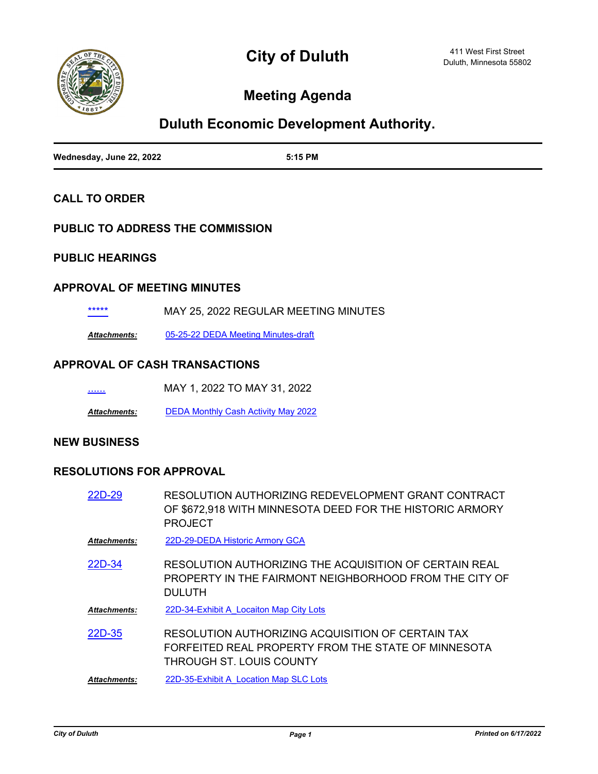

# **Meeting Agenda**

## **Duluth Economic Development Authority.**

| Wednesday, June 22, 2022 | 5:15 PM |
|--------------------------|---------|

#### **CALL TO ORDER**

#### **PUBLIC TO ADDRESS THE COMMISSION**

#### **PUBLIC HEARINGS**

#### **APPROVAL OF MEETING MINUTES**

[\\*\\*\\*\\*\\*](http://duluth-mn.legistar.com/gateway.aspx?m=l&id=/matter.aspx?key=8327) MAY 25, 2022 REGULAR MEETING MINUTES

*Attachments:* [05-25-22 DEDA Meeting Minutes-draft](http://duluth-mn.legistar.com/gateway.aspx?M=F&ID=1b898889-074f-4ebb-91f2-6bf8df55ae55.pdf)

#### **APPROVAL OF CASH TRANSACTIONS**

| <br>MAY 1, 2022 TO MAY 31, 2022 |  |
|---------------------------------|--|
|                                 |  |

*Attachments:* [DEDA Monthly Cash Activity May 2022](http://duluth-mn.legistar.com/gateway.aspx?M=F&ID=2fb0197d-0f5d-4ff1-9f9a-1da1a910de97.pdf)

#### **NEW BUSINESS**

#### **RESOLUTIONS FOR APPROVAL**

| 22D-29 | RESOLUTION AUTHORIZING REDEVELOPMENT GRANT CONTRACT      |
|--------|----------------------------------------------------------|
|        | OF \$672,918 WITH MINNESOTA DEED FOR THE HISTORIC ARMORY |
|        | <b>PROJECT</b>                                           |

*Attachments:* [22D-29-DEDA Historic Armory GCA](http://duluth-mn.legistar.com/gateway.aspx?M=F&ID=960aec36-2ce9-4795-918c-30c5a101d6a3.pdf)

RESOLUTION AUTHORIZING THE ACQUISITION OF CERTAIN REAL PROPERTY IN THE FAIRMONT NEIGHBORHOOD FROM THE CITY OF DULUTH [22D-34](http://duluth-mn.legistar.com/gateway.aspx?m=l&id=/matter.aspx?key=8318)

*Attachments:* [22D-34-Exhibit A\\_Locaiton Map City Lots](http://duluth-mn.legistar.com/gateway.aspx?M=F&ID=ad59f19b-9752-4737-972c-03e7fb3046bd.pdf)

RESOLUTION AUTHORIZING ACQUISITION OF CERTAIN TAX FORFEITED REAL PROPERTY FROM THE STATE OF MINNESOTA THROUGH ST. LOUIS COUNTY [22D-35](http://duluth-mn.legistar.com/gateway.aspx?m=l&id=/matter.aspx?key=8319)

*Attachments:* [22D-35-Exhibit A\\_Location Map SLC Lots](http://duluth-mn.legistar.com/gateway.aspx?M=F&ID=fffc8daa-e046-425f-ad87-e74c9d2ef967.pdf)